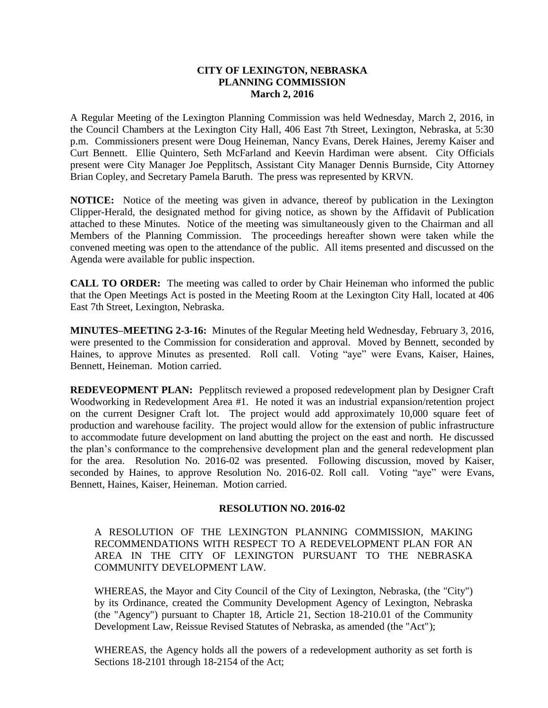## **CITY OF LEXINGTON, NEBRASKA PLANNING COMMISSION March 2, 2016**

A Regular Meeting of the Lexington Planning Commission was held Wednesday, March 2, 2016, in the Council Chambers at the Lexington City Hall, 406 East 7th Street, Lexington, Nebraska, at 5:30 p.m. Commissioners present were Doug Heineman, Nancy Evans, Derek Haines, Jeremy Kaiser and Curt Bennett. Ellie Quintero, Seth McFarland and Keevin Hardiman were absent. City Officials present were City Manager Joe Pepplitsch, Assistant City Manager Dennis Burnside, City Attorney Brian Copley, and Secretary Pamela Baruth. The press was represented by KRVN.

**NOTICE:** Notice of the meeting was given in advance, thereof by publication in the Lexington Clipper-Herald, the designated method for giving notice, as shown by the Affidavit of Publication attached to these Minutes. Notice of the meeting was simultaneously given to the Chairman and all Members of the Planning Commission. The proceedings hereafter shown were taken while the convened meeting was open to the attendance of the public. All items presented and discussed on the Agenda were available for public inspection.

**CALL TO ORDER:** The meeting was called to order by Chair Heineman who informed the public that the Open Meetings Act is posted in the Meeting Room at the Lexington City Hall, located at 406 East 7th Street, Lexington, Nebraska.

**MINUTES–MEETING 2-3-16:** Minutes of the Regular Meeting held Wednesday, February 3, 2016, were presented to the Commission for consideration and approval. Moved by Bennett, seconded by Haines, to approve Minutes as presented. Roll call. Voting "aye" were Evans, Kaiser, Haines, Bennett, Heineman. Motion carried.

**REDEVEOPMENT PLAN:** Pepplitsch reviewed a proposed redevelopment plan by Designer Craft Woodworking in Redevelopment Area #1. He noted it was an industrial expansion/retention project on the current Designer Craft lot. The project would add approximately 10,000 square feet of production and warehouse facility. The project would allow for the extension of public infrastructure to accommodate future development on land abutting the project on the east and north. He discussed the plan's conformance to the comprehensive development plan and the general redevelopment plan for the area. Resolution No. 2016-02 was presented. Following discussion, moved by Kaiser, seconded by Haines, to approve Resolution No. 2016-02. Roll call. Voting "aye" were Evans, Bennett, Haines, Kaiser, Heineman. Motion carried.

## **RESOLUTION NO. 2016-02**

A RESOLUTION OF THE LEXINGTON PLANNING COMMISSION, MAKING RECOMMENDATIONS WITH RESPECT TO A REDEVELOPMENT PLAN FOR AN AREA IN THE CITY OF LEXINGTON PURSUANT TO THE NEBRASKA COMMUNITY DEVELOPMENT LAW.

WHEREAS, the Mayor and City Council of the City of Lexington, Nebraska, (the "City") by its Ordinance, created the Community Development Agency of Lexington, Nebraska (the "Agency") pursuant to Chapter 18, Article 21, Section 18-210.01 of the Community Development Law, Reissue Revised Statutes of Nebraska, as amended (the "Act");

WHEREAS, the Agency holds all the powers of a redevelopment authority as set forth is Sections 18-2101 through 18-2154 of the Act;